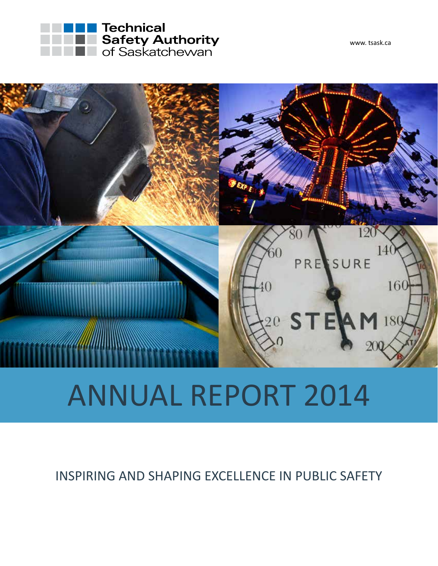





## ANNUAL REPORT 2014

INSPIRING AND SHAPING EXCELLENCE IN PUBLIC SAFETY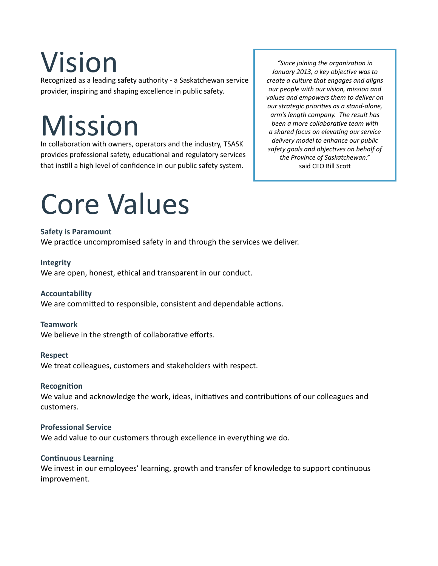# Vision

Recognized as a leading safety authority - a Saskatchewan service provider, inspiring and shaping excellence in public safety.

## Mission

In collaboration with owners, operators and the industry, TSASK provides professional safety, educational and regulatory services that instill a high level of confidence in our public safety system.

*"Since joining the organization in January 2013, a key objective was to create a culture that engages and aligns our people with our vision, mission and values and empowers them to deliver on our strategic priorities as a stand-alone, arm's length company. The result has been a more collaborative team with a shared focus on elevating our service delivery model to enhance our public safety goals and objectives on behalf of the Province of Saskatchewan."*  said CEO Bill Scott

## Core Values

### **Safety is Paramount**

We practice uncompromised safety in and through the services we deliver.

### **Integrity**

We are open, honest, ethical and transparent in our conduct.

### **Accountability**

We are committed to responsible, consistent and dependable actions.

### **Teamwork**

We believe in the strength of collaborative efforts.

### **Respect**

We treat colleagues, customers and stakeholders with respect.

### **Recognition**

We value and acknowledge the work, ideas, initiatives and contributions of our colleagues and customers.

### **Professional Service**

We add value to our customers through excellence in everything we do.

### **Continuous Learning**

We invest in our employees' learning, growth and transfer of knowledge to support continuous improvement.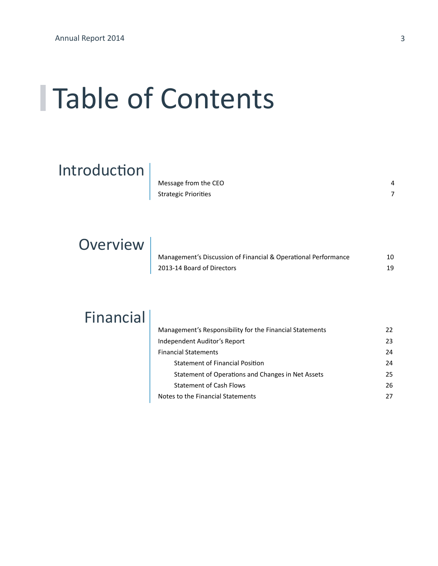### Table of Contents

### Introduction

| Message from the CEO        |  |
|-----------------------------|--|
| <b>Strategic Priorities</b> |  |

### **Overview**

| Management's Discussion of Financial & Operational Performance |    |
|----------------------------------------------------------------|----|
| 2013-14 Board of Directors                                     | 19 |

### Financial

| Management's Responsibility for the Financial Statements | 22 |
|----------------------------------------------------------|----|
| Independent Auditor's Report                             | 23 |
| <b>Financial Statements</b>                              | 24 |
| <b>Statement of Financial Position</b>                   | 24 |
| Statement of Operations and Changes in Net Assets        | 25 |
| <b>Statement of Cash Flows</b>                           | 26 |
| Notes to the Financial Statements                        | 27 |
|                                                          |    |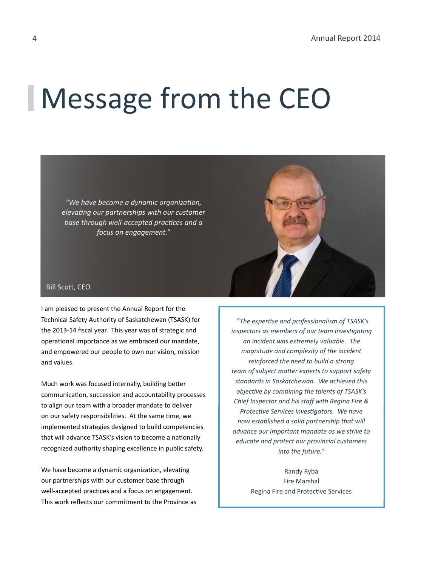### Message from the CEO

*"We have become a dynamic organization, elevating our partnerships with our customer base through well-accepted practices and a focus on engagement."*



### Bill Scott, CEO

I am pleased to present the Annual Report for the Technical Safety Authority of Saskatchewan (TSASK) for the 2013-14 fiscal year. This year was of strategic and operational importance as we embraced our mandate, and empowered our people to own our vision, mission and values.

Much work was focused internally, building better communication, succession and accountability processes to align our team with a broader mandate to deliver on our safety responsibilities. At the same time, we implemented strategies designed to build competencies that will advance TSASK's vision to become a nationally recognized authority shaping excellence in public safety.

We have become a dynamic organization, elevating our partnerships with our customer base through well-accepted practices and a focus on engagement. This work reflects our commitment to the Province as

*"The expertise and professionalism of TSASK's inspectors as members of our team investigating an incident was extremely valuable. The magnitude and complexity of the incident reinforced the need to build a strong team of subject matter experts to support safety standards in Saskatchewan. We achieved this objective by combining the talents of TSASK's Chief Inspector and his staff with Regina Fire & Protective Services investigators. We have now established a solid partnership that will advance our important mandate as we strive to educate and protect our provincial customers into the future."*

> Randy Ryba Fire Marshal Regina Fire and Protective Services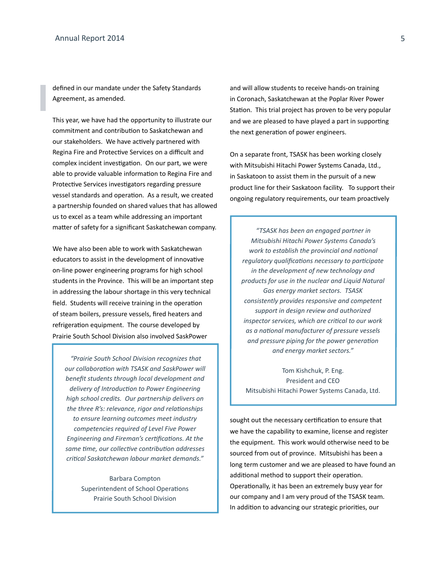defined in our mandate under the Safety Standards Agreement, as amended.

This year, we have had the opportunity to illustrate our commitment and contribution to Saskatchewan and our stakeholders. We have actively partnered with Regina Fire and Protective Services on a difficult and complex incident investigation. On our part, we were able to provide valuable information to Regina Fire and Protective Services investigators regarding pressure vessel standards and operation. As a result, we created a partnership founded on shared values that has allowed us to excel as a team while addressing an important matter of safety for a significant Saskatchewan company.

We have also been able to work with Saskatchewan educators to assist in the development of innovative on-line power engineering programs for high school students in the Province. This will be an important step in addressing the labour shortage in this very technical field. Students will receive training in the operation of steam boilers, pressure vessels, fired heaters and refrigeration equipment. The course developed by Prairie South School Division also involved SaskPower

 *"Prairie South School Division recognizes that our collaboration with TSASK and SaskPower will benefit students through local development and delivery of Introduction to Power Engineering high school credits. Our partnership delivers on the three R's: relevance, rigor and relationships to ensure learning outcomes meet industry competencies required of Level Five Power Engineering and Fireman's certifications. At the same time, our collective contribution addresses critical Saskatchewan labour market demands."*

> Barbara Compton Superintendent of School Operations Prairie South School Division

and will allow students to receive hands-on training in Coronach, Saskatchewan at the Poplar River Power Station. This trial project has proven to be very popular and we are pleased to have played a part in supporting the next generation of power engineers.

On a separate front, TSASK has been working closely with Mitsubishi Hitachi Power Systems Canada, Ltd., in Saskatoon to assist them in the pursuit of a new product line for their Saskatoon facility. To support their ongoing regulatory requirements, our team proactively

*"TSASK has been an engaged partner in Mitsubishi Hitachi Power Systems Canada's work to establish the provincial and national regulatory qualifications necessary to participate in the development of new technology and products for use in the nuclear and Liquid Natural Gas energy market sectors. TSASK consistently provides responsive and competent support in design review and authorized inspector services, which are critical to our work as a national manufacturer of pressure vessels and pressure piping for the power generation and energy market sectors."*

Tom Kishchuk, P. Eng. President and CEO Mitsubishi Hitachi Power Systems Canada, Ltd.

sought out the necessary certification to ensure that we have the capability to examine, license and register the equipment. This work would otherwise need to be sourced from out of province. Mitsubishi has been a long term customer and we are pleased to have found an additional method to support their operation. Operationally, it has been an extremely busy year for our company and I am very proud of the TSASK team. In addition to advancing our strategic priorities, our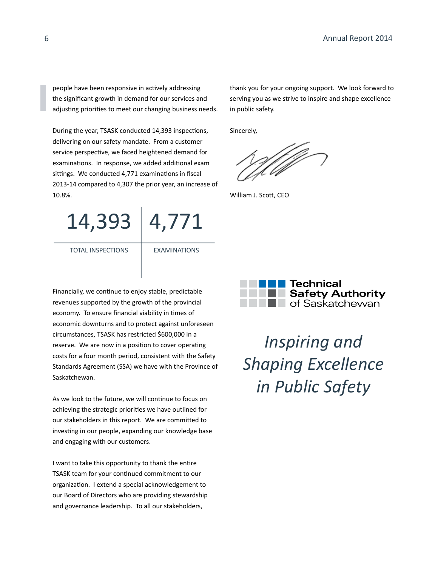people have been responsive in actively addressing the significant growth in demand for our services and adjusting priorities to meet our changing business needs.

During the year, TSASK conducted 14,393 inspections, delivering on our safety mandate. From a customer service perspective, we faced heightened demand for examinations. In response, we added additional exam sittings. We conducted 4,771 examinations in fiscal 2013-14 compared to 4,307 the prior year, an increase of 10.8%.

14,393 4,771

TOTAL INSPECTIONS

EXAMINATIONS

Financially, we continue to enjoy stable, predictable revenues supported by the growth of the provincial economy. To ensure financial viability in times of economic downturns and to protect against unforeseen circumstances, TSASK has restricted \$600,000 in a reserve. We are now in a position to cover operating costs for a four month period, consistent with the Safety Standards Agreement (SSA) we have with the Province of Saskatchewan.

As we look to the future, we will continue to focus on achieving the strategic priorities we have outlined for our stakeholders in this report. We are committed to investing in our people, expanding our knowledge base and engaging with our customers.

I want to take this opportunity to thank the entire TSASK team for your continued commitment to our organization. I extend a special acknowledgement to our Board of Directors who are providing stewardship and governance leadership. To all our stakeholders,

thank you for your ongoing support. We look forward to serving you as we strive to inspire and shape excellence in public safety.

Sincerely,

William J. Scott, CEO



*Inspiring and Shaping Excellence in Public Safety*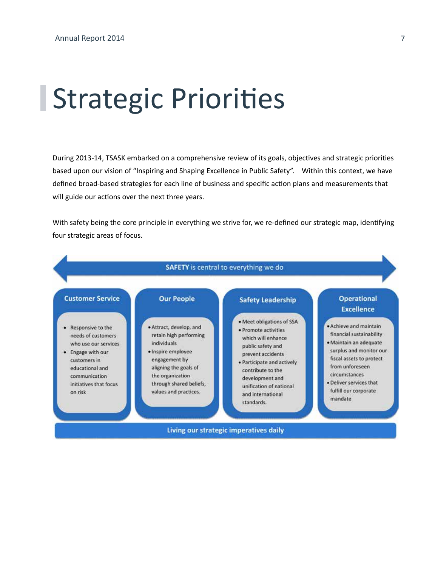### Strategic Priorities

During 2013-14, TSASK embarked on a comprehensive review of its goals, objectives and strategic priorities based upon our vision of "Inspiring and Shaping Excellence in Public Safety". Within this context, we have defined broad-based strategies for each line of business and specific action plans and measurements that will guide our actions over the next three years.

With safety being the core principle in everything we strive for, we re-defined our strategic map, identifying four strategic areas of focus.

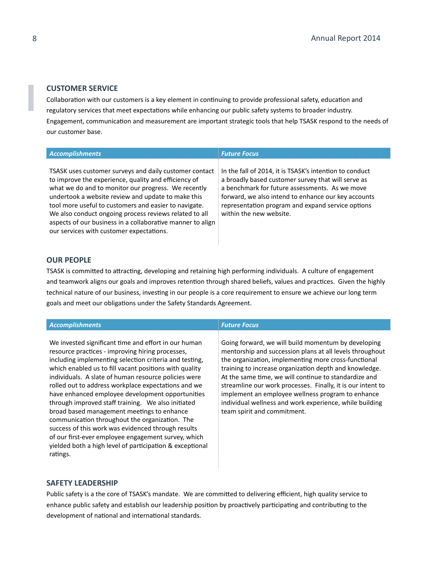### **CUSTOMER SERVICE**

Collaboration with our customers is a key element in continuing to provide professional safety, education and regulatory services that meet expectations while enhancing our public safety systems to broader industry. Engagement, communication and measurement are important strategic tools that help TSASK respond to the needs of our customer base.

| <b>Accomplishments</b>                                                                                                                                                                                                                                                                                                                                                                                                                                   | <b>Future Focus</b>                                                                                                                                                                                                                                                                                    |
|----------------------------------------------------------------------------------------------------------------------------------------------------------------------------------------------------------------------------------------------------------------------------------------------------------------------------------------------------------------------------------------------------------------------------------------------------------|--------------------------------------------------------------------------------------------------------------------------------------------------------------------------------------------------------------------------------------------------------------------------------------------------------|
| TSASK uses customer surveys and daily customer contact<br>to improve the experience, quality and efficiency of<br>what we do and to monitor our progress. We recently<br>undertook a website review and update to make this<br>tool more useful to customers and easier to navigate.<br>We also conduct ongoing process reviews related to all<br>aspects of our business in a collaborative manner to align<br>our services with customer expectations. | In the fall of 2014, it is TSASK's intention to conduct<br>a broadly based customer survey that will serve as<br>a benchmark for future assessments. As we move<br>forward, we also intend to enhance our key accounts<br>representation program and expand service options<br>within the new website. |

### **OUR PEOPLE**

TSASK is committed to attracting, developing and retaining high performing individuals. A culture of engagement and teamwork aligns our goals and improves retention through shared beliefs, values and practices. Given the highly technical nature of our business, investing in our people is a core requirement to ensure we achieve our long term goals and meet our obligations under the Safety Standards Agreement.

| <b>Accomplishments</b>                                                                                                                                                                                                                                                                                                                                                                                                                                                                                                                                                                                                                                                                                                                     | <b>Future Focus</b>                                                                                                                                                                                                                                                                                                                                                                                                                                                                                      |
|--------------------------------------------------------------------------------------------------------------------------------------------------------------------------------------------------------------------------------------------------------------------------------------------------------------------------------------------------------------------------------------------------------------------------------------------------------------------------------------------------------------------------------------------------------------------------------------------------------------------------------------------------------------------------------------------------------------------------------------------|----------------------------------------------------------------------------------------------------------------------------------------------------------------------------------------------------------------------------------------------------------------------------------------------------------------------------------------------------------------------------------------------------------------------------------------------------------------------------------------------------------|
| We invested significant time and effort in our human<br>resource practices - improving hiring processes,<br>including implementing selection criteria and testing,<br>which enabled us to fill vacant positions with quality<br>individuals. A slate of human resource policies were<br>rolled out to address workplace expectations and we<br>have enhanced employee development opportunities<br>through improved staff training. We also initiated<br>broad based management meetings to enhance<br>communication throughout the organization. The<br>success of this work was evidenced through results<br>of our first-ever employee engagement survey, which<br>yielded both a high level of participation & exceptional<br>ratings. | Going forward, we will build momentum by developing<br>mentorship and succession plans at all levels throughout<br>the organization, implementing more cross-functional<br>training to increase organization depth and knowledge.<br>At the same time, we will continue to standardize and<br>streamline our work processes. Finally, it is our intent to<br>implement an employee wellness program to enhance<br>individual wellness and work experience, while building<br>team spirit and commitment. |

### **SAFETY LEADERSHIP**

Public safety is a the core of TSASK's mandate. We are committed to delivering efficient, high quality service to enhance public safety and establish our leadership position by proactively participating and contributing to the development of national and international standards.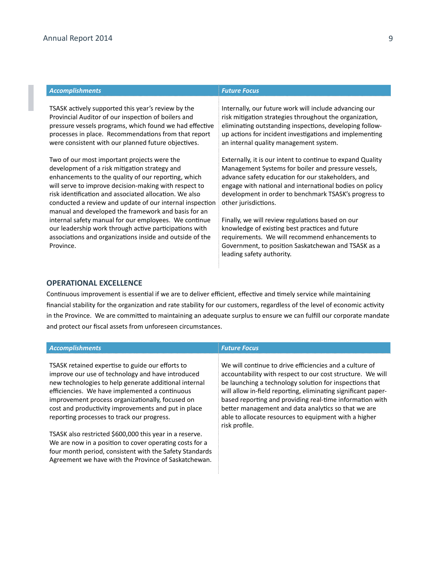| <b>Accomplishments</b>                                                                                                                                                                                                                                                                                                                                                                    | <b>Future Focus</b>                                                                                                                                                                                                                                                                                                 |
|-------------------------------------------------------------------------------------------------------------------------------------------------------------------------------------------------------------------------------------------------------------------------------------------------------------------------------------------------------------------------------------------|---------------------------------------------------------------------------------------------------------------------------------------------------------------------------------------------------------------------------------------------------------------------------------------------------------------------|
| TSASK actively supported this year's review by the<br>Provincial Auditor of our inspection of boilers and<br>pressure vessels programs, which found we had effective<br>processes in place. Recommendations from that report<br>were consistent with our planned future objectives.                                                                                                       | Internally, our future work will include advancing our<br>risk mitigation strategies throughout the organization,<br>eliminating outstanding inspections, developing follow-<br>up actions for incident investigations and implementing<br>an internal quality management system.                                   |
| Two of our most important projects were the<br>development of a risk mitigation strategy and<br>enhancements to the quality of our reporting, which<br>will serve to improve decision-making with respect to<br>risk identification and associated allocation. We also<br>conducted a review and update of our internal inspection<br>manual and developed the framework and basis for an | Externally, it is our intent to continue to expand Quality<br>Management Systems for boiler and pressure vessels,<br>advance safety education for our stakeholders, and<br>engage with national and international bodies on policy<br>development in order to benchmark TSASK's progress to<br>other jurisdictions. |
| internal safety manual for our employees. We continue<br>our leadership work through active participations with<br>associations and organizations inside and outside of the<br>Province.                                                                                                                                                                                                  | Finally, we will review regulations based on our<br>knowledge of existing best practices and future<br>requirements. We will recommend enhancements to<br>Government, to position Saskatchewan and TSASK as a<br>leading safety authority.                                                                          |

### **OPERATIONAL EXCELLENCE**

Continuous improvement is essential if we are to deliver efficient, effective and timely service while maintaining financial stability for the organization and rate stability for our customers, regardless of the level of economic activity in the Province. We are committed to maintaining an adequate surplus to ensure we can fulfill our corporate mandate and protect our fiscal assets from unforeseen circumstances.

### *Accomplishments Future Focus*

TSASK retained expertise to guide our efforts to improve our use of technology and have introduced new technologies to help generate additional internal efficiencies. We have implemented a continuous improvement process organizationally, focused on cost and productivity improvements and put in place reporting processes to track our progress.

TSASK also restricted \$600,000 this year in a reserve. We are now in a position to cover operating costs for a four month period, consistent with the Safety Standards Agreement we have with the Province of Saskatchewan.

We will continue to drive efficiencies and a culture of accountability with respect to our cost structure. We will be launching a technology solution for inspections that will allow in-field reporting, eliminating significant paperbased reporting and providing real-time information with better management and data analytics so that we are able to allocate resources to equipment with a higher risk profile.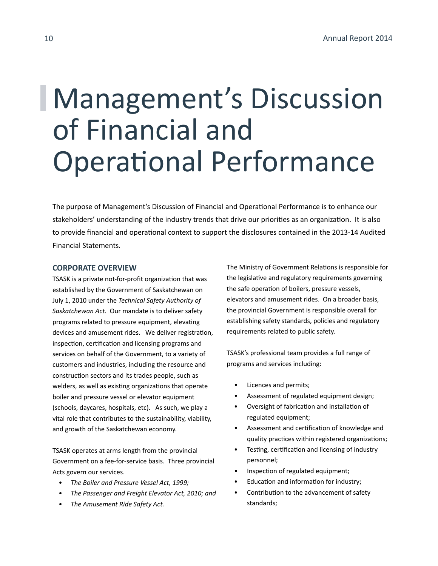### Management's Discussion of Financial and Operational Performance

The purpose of Management's Discussion of Financial and Operational Performance is to enhance our stakeholders' understanding of the industry trends that drive our priorities as an organization. It is also to provide financial and operational context to support the disclosures contained in the 2013-14 Audited Financial Statements.

### **CORPORATE OVERVIEW**

TSASK is a private not-for-profit organization that was established by the Government of Saskatchewan on July 1, 2010 under the *Technical Safety Authority of Saskatchewan Act*. Our mandate is to deliver safety programs related to pressure equipment, elevating devices and amusement rides. We deliver registration, inspection, certification and licensing programs and services on behalf of the Government, to a variety of customers and industries, including the resource and construction sectors and its trades people, such as welders, as well as existing organizations that operate boiler and pressure vessel or elevator equipment (schools, daycares, hospitals, etc). As such, we play a vital role that contributes to the sustainability, viability, and growth of the Saskatchewan economy.

TSASK operates at arms length from the provincial Government on a fee-for-service basis. Three provincial Acts govern our services.

- *• The Boiler and Pressure Vessel Act, 1999;*
- *• The Passenger and Freight Elevator Act, 2010; and*
- *• The Amusement Ride Safety Act.*

The Ministry of Government Relations is responsible for the legislative and regulatory requirements governing the safe operation of boilers, pressure vessels, elevators and amusement rides. On a broader basis, the provincial Government is responsible overall for establishing safety standards, policies and regulatory requirements related to public safety.

TSASK's professional team provides a full range of programs and services including:

- Licences and permits;
- Assessment of regulated equipment design;
- Oversight of fabrication and installation of regulated equipment;
- Assessment and certification of knowledge and quality practices within registered organizations;
- Testing, certification and licensing of industry personnel;
- Inspection of regulated equipment;
- Education and information for industry;
- Contribution to the advancement of safety standards;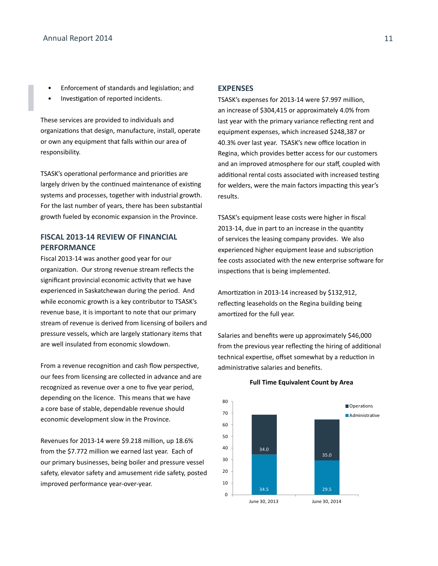- Enforcement of standards and legislation; and
- Investigation of reported incidents.

These services are provided to individuals and organizations that design, manufacture, install, operate or own any equipment that falls within our area of responsibility.

TSASK's operational performance and priorities are largely driven by the continued maintenance of existing systems and processes, together with industrial growth. For the last number of years, there has been substantial growth fueled by economic expansion in the Province.

### **FISCAL 2013-14 REVIEW OF FINANCIAL PERFORMANCE**

Fiscal 2013-14 was another good year for our organization. Our strong revenue stream reflects the significant provincial economic activity that we have experienced in Saskatchewan during the period. And while economic growth is a key contributor to TSASK's revenue base, it is important to note that our primary stream of revenue is derived from licensing of boilers and pressure vessels, which are largely stationary items that are well insulated from economic slowdown.

From a revenue recognition and cash flow perspective, our fees from licensing are collected in advance and are recognized as revenue over a one to five year period, depending on the licence. This means that we have a core base of stable, dependable revenue should economic development slow in the Province.

Revenues for 2013-14 were \$9.218 million, up 18.6% from the \$7.772 million we earned last year. Each of our primary businesses, being boiler and pressure vessel safety, elevator safety and amusement ride safety, posted improved performance year-over-year.

#### **EXPENSES**

TSASK's expenses for 2013-14 were \$7.997 million, an increase of \$304,415 or approximately 4.0% from last year with the primary variance reflecting rent and equipment expenses, which increased \$248,387 or 40.3% over last year. TSASK's new office location in Regina, which provides better access for our customers and an improved atmosphere for our staff, coupled with additional rental costs associated with increased testing for welders, were the main factors impacting this year's results.

TSASK's equipment lease costs were higher in fiscal 2013-14, due in part to an increase in the quantity of services the leasing company provides. We also experienced higher equipment lease and subscription fee costs associated with the new enterprise software for inspections that is being implemented.

Amortization in 2013-14 increased by \$132,912, reflecting leaseholds on the Regina building being amortized for the full year.

Salaries and benefits were up approximately \$46,000 from the previous year reflecting the hiring of additional technical expertise, offset somewhat by a reduction in administrative salaries and benefits.



#### **Full Time Equivalent Count by Area**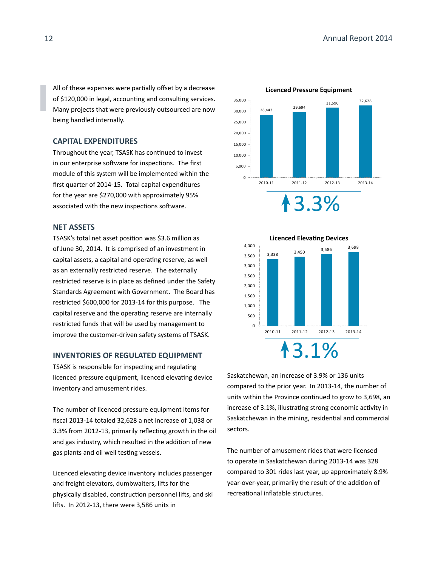All of these expenses were partially offset by a decrease of \$120,000 in legal, accounting and consulting services. Many projects that were previously outsourced are now being handled internally.

### **CAPITAL EXPENDITURES**

Throughout the year, TSASK has continued to invest in our enterprise software for inspections. The first module of this system will be implemented within the first quarter of 2014-15. Total capital expenditures for the year are \$270,000 with approximately 95% associated with the new inspections software.

### **NET ASSETS**

TSASK's total net asset position was \$3.6 million as of June 30, 2014. It is comprised of an investment in capital assets, a capital and operating reserve, as well as an externally restricted reserve. The externally restricted reserve is in place as defined under the Safety Standards Agreement with Government. The Board has restricted \$600,000 for 2013-14 for this purpose. The capital reserve and the operating reserve are internally restricted funds that will be used by management to improve the customer-driven safety systems of TSASK.

### **INVENTORIES OF REGULATED EQUIPMENT**

TSASK is responsible for inspecting and regulating licenced pressure equipment, licenced elevating device inventory and amusement rides.

The number of licenced pressure equipment items for fiscal 2013-14 totaled 32,628 a net increase of 1,038 or 3.3% from 2012-13, primarily reflecting growth in the oil and gas industry, which resulted in the addition of new gas plants and oil well testing vessels.

Licenced elevating device inventory includes passenger and freight elevators, dumbwaiters, lifts for the physically disabled, construction personnel lifts, and ski lifts. In 2012-13, there were 3,586 units in





Saskatchewan, an increase of 3.9% or 136 units compared to the prior year. In 2013-14, the number of units within the Province continued to grow to 3,698, an increase of 3.1%, illustrating strong economic activity in Saskatchewan in the mining, residential and commercial sectors.

The number of amusement rides that were licensed to operate in Saskatchewan during 2013-14 was 328 compared to 301 rides last year, up approximately 8.9% year-over-year, primarily the result of the addition of recreational inflatable structures.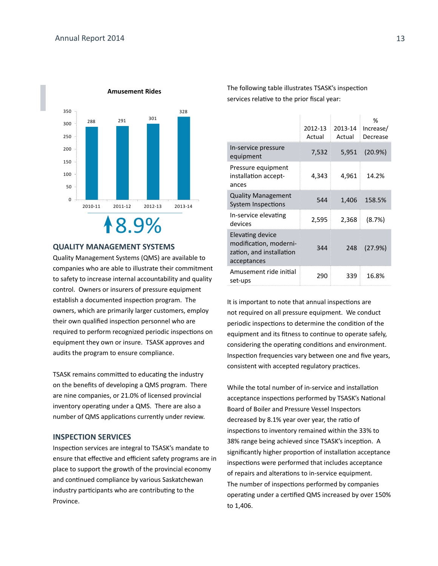

### **QUALITY MANAGEMENT SYSTEMS**

Quality Management Systems (QMS) are available to companies who are able to illustrate their commitment to safety to increase internal accountability and quality control. Owners or insurers of pressure equipment establish a documented inspection program. The owners, which are primarily larger customers, employ their own qualified inspection personnel who are required to perform recognized periodic inspections on equipment they own or insure. TSASK approves and audits the program to ensure compliance.

TSASK remains committed to educating the industry on the benefits of developing a QMS program. There are nine companies, or 21.0% of licensed provincial inventory operating under a QMS. There are also a number of QMS applications currently under review.

### **INSPECTION SERVICES**

Inspection services are integral to TSASK's mandate to ensure that effective and efficient safety programs are in place to support the growth of the provincial economy and continued compliance by various Saskatchewan industry participants who are contributing to the Province.

The following table illustrates TSASK's inspection services relative to the prior fiscal year:

|                                                                                       | 2012-13<br>Actual | 2013-14<br>Actual | %<br>Increase/<br>Decrease |
|---------------------------------------------------------------------------------------|-------------------|-------------------|----------------------------|
| In-service pressure<br>equipment                                                      | 7,532             | 5,951             | (20.9%)                    |
| Pressure equipment<br>installation accept-<br>ances                                   | 4,343             | 4,961             | 14.2%                      |
| <b>Quality Management</b><br>System Inspections                                       | 544               | 1,406             | 158.5%                     |
| In-service elevating<br>devices                                                       | 2,595             | 2,368             | (8.7%)                     |
| Elevating device<br>modification, moderni-<br>zation, and installation<br>acceptances | 344               | 248               | (27.9%)                    |
| Amusement ride initial<br>set-ups                                                     | 290               | 339               | 16.8%                      |

It is important to note that annual inspections are not required on all pressure equipment. We conduct periodic inspections to determine the condition of the equipment and its fitness to continue to operate safely, considering the operating conditions and environment. Inspection frequencies vary between one and five years, consistent with accepted regulatory practices.

While the total number of in-service and installation acceptance inspections performed by TSASK's National Board of Boiler and Pressure Vessel Inspectors decreased by 8.1% year over year, the ratio of inspections to inventory remained within the 33% to 38% range being achieved since TSASK's inception. A significantly higher proportion of installation acceptance inspections were performed that includes acceptance of repairs and alterations to in-service equipment. The number of inspections performed by companies operating under a certified QMS increased by over 150% to 1,406.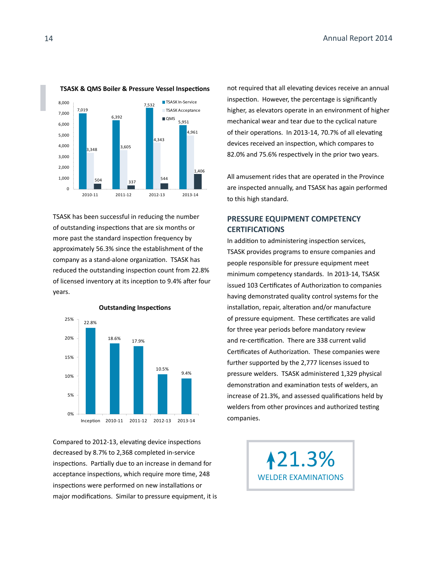

TSASK has been successful in reducing the number of outstanding inspections that are six months or more past the standard inspection frequency by approximately 56.3% since the establishment of the company as a stand-alone organization. TSASK has reduced the outstanding inspection count from 22.8% of licensed inventory at its inception to 9.4% after four years.



Compared to 2012-13, elevating device inspections decreased by 8.7% to 2,368 completed in-service inspections. Partially due to an increase in demand for acceptance inspections, which require more time, 248 inspections were performed on new installations or major modifications. Similar to pressure equipment, it is not required that all elevating devices receive an annual inspection. However, the percentage is significantly higher, as elevators operate in an environment of higher mechanical wear and tear due to the cyclical nature of their operations. In 2013-14, 70.7% of all elevating devices received an inspection, which compares to 82.0% and 75.6% respectively in the prior two years.

All amusement rides that are operated in the Province are inspected annually, and TSASK has again performed to this high standard.

### **PRESSURE EQUIPMENT COMPETENCY CERTIFICATIONS**

In addition to administering inspection services, TSASK provides programs to ensure companies and people responsible for pressure equipment meet minimum competency standards. In 2013-14, TSASK issued 103 Certificates of Authorization to companies having demonstrated quality control systems for the installation, repair, alteration and/or manufacture of pressure equipment. These certificates are valid for three year periods before mandatory review and re-certification. There are 338 current valid Certificates of Authorization. These companies were further supported by the 2,777 licenses issued to pressure welders. TSASK administered 1,329 physical demonstration and examination tests of welders, an increase of 21.3%, and assessed qualifications held by welders from other provinces and authorized testing companies.

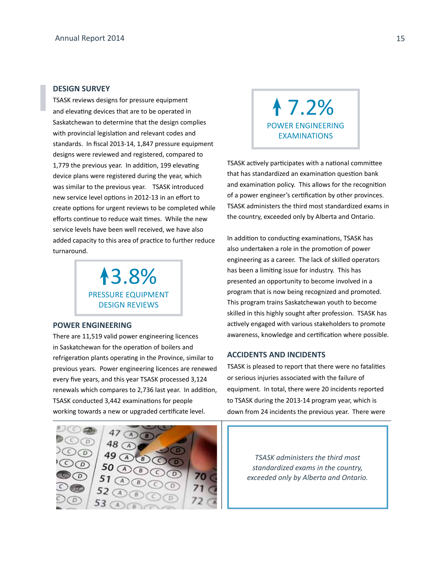### **DESIGN SURVEY**

TSASK reviews designs for pressure equipment and elevating devices that are to be operated in Saskatchewan to determine that the design complies with provincial legislation and relevant codes and standards. In fiscal 2013-14, 1,847 pressure equipment designs were reviewed and registered, compared to 1,779 the previous year. In addition, 199 elevating device plans were registered during the year, which was similar to the previous year. TSASK introduced new service level options in 2012-13 in an effort to create options for urgent reviews to be completed while efforts continue to reduce wait times. While the new service levels have been well received, we have also added capacity to this area of practice to further reduce turnaround.

> 3.8% PRESSURE EQUIPMENT DESIGN REVIEWS

### **POWER ENGINEERING**

There are 11,519 valid power engineering licences in Saskatchewan for the operation of boilers and refrigeration plants operating in the Province, similar to previous years. Power engineering licences are renewed every five years, and this year TSASK processed 3,124 renewals which compares to 2,736 last year. In addition, TSASK conducted 3,442 examinations for people working towards a new or upgraded certificate level.



 7.2% POWER ENGINEERING EXAMINATIONS

TSASK actively participates with a national committee that has standardized an examination question bank and examination policy. This allows for the recognition of a power engineer's certification by other provinces. TSASK administers the third most standardized exams in the country, exceeded only by Alberta and Ontario.

In addition to conducting examinations, TSASK has also undertaken a role in the promotion of power engineering as a career. The lack of skilled operators has been a limiting issue for industry. This has presented an opportunity to become involved in a program that is now being recognized and promoted. This program trains Saskatchewan youth to become skilled in this highly sought after profession. TSASK has actively engaged with various stakeholders to promote awareness, knowledge and certification where possible.

### **ACCIDENTS AND INCIDENTS**

TSASK is pleased to report that there were no fatalities or serious injuries associated with the failure of equipment. In total, there were 20 incidents reported to TSASK during the 2013-14 program year, which is down from 24 incidents the previous year. There were

> *TSASK administers the third most standardized exams in the country, exceeded only by Alberta and Ontario.*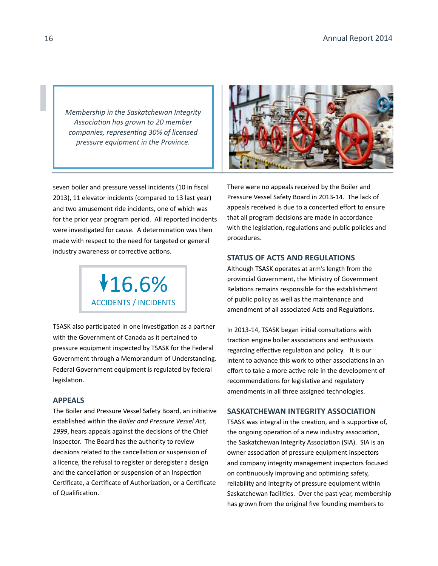*Membership in the Saskatchewan Integrity Association has grown to 20 member companies, representing 30% of licensed pressure equipment in the Province.*



seven boiler and pressure vessel incidents (10 in fiscal 2013), 11 elevator incidents (compared to 13 last year) and two amusement ride incidents, one of which was for the prior year program period. All reported incidents were investigated for cause. A determination was then made with respect to the need for targeted or general industry awareness or corrective actions.



TSASK also participated in one investigation as a partner with the Government of Canada as it pertained to pressure equipment inspected by TSASK for the Federal Government through a Memorandum of Understanding. Federal Government equipment is regulated by federal legislation.

### **APPEALS**

The Boiler and Pressure Vessel Safety Board, an initiative established within the *Boiler and Pressure Vessel Act, 1999*, hears appeals against the decisions of the Chief Inspector. The Board has the authority to review decisions related to the cancellation or suspension of a licence, the refusal to register or deregister a design and the cancellation or suspension of an Inspection Certificate, a Certificate of Authorization, or a Certificate of Qualification.

There were no appeals received by the Boiler and Pressure Vessel Safety Board in 2013-14. The lack of appeals received is due to a concerted effort to ensure that all program decisions are made in accordance with the legislation, regulations and public policies and procedures.

### **STATUS OF ACTS AND REGULATIONS**

Although TSASK operates at arm's length from the provincial Government, the Ministry of Government Relations remains responsible for the establishment of public policy as well as the maintenance and amendment of all associated Acts and Regulations.

In 2013-14, TSASK began initial consultations with traction engine boiler associations and enthusiasts regarding effective regulation and policy. It is our intent to advance this work to other associations in an effort to take a more active role in the development of recommendations for legislative and regulatory amendments in all three assigned technologies.

### **SASKATCHEWAN INTEGRITY ASSOCIATION**

TSASK was integral in the creation, and is supportive of, the ongoing operation of a new industry association, the Saskatchewan Integrity Association (SIA). SIA is an owner association of pressure equipment inspectors and company integrity management inspectors focused on continuously improving and optimizing safety, reliability and integrity of pressure equipment within Saskatchewan facilities. Over the past year, membership has grown from the original five founding members to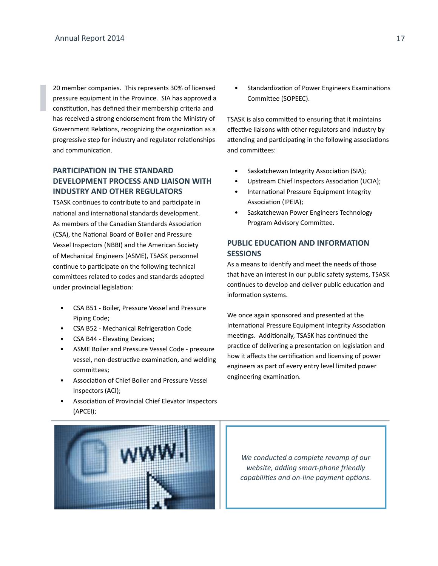20 member companies. This represents 30% of licensed pressure equipment in the Province. SIA has approved a constitution, has defined their membership criteria and has received a strong endorsement from the Ministry of Government Relations, recognizing the organization as a progressive step for industry and regulator relationships and communication.

### **PARTICIPATION IN THE STANDARD DEVELOPMENT PROCESS AND LIAISON WITH INDUSTRY AND OTHER REGULATORS**

TSASK continues to contribute to and participate in national and international standards development. As members of the Canadian Standards Association (CSA), the National Board of Boiler and Pressure Vessel Inspectors (NBBI) and the American Society of Mechanical Engineers (ASME), TSASK personnel continue to participate on the following technical committees related to codes and standards adopted under provincial legislation:

- CSA B51 Boiler, Pressure Vessel and Pressure Piping Code;
- CSA B52 Mechanical Refrigeration Code
- CSA B44 Elevating Devices;
- ASME Boiler and Pressure Vessel Code pressure vessel, non-destructive examination, and welding committees;
- Association of Chief Boiler and Pressure Vessel Inspectors (ACI);
- Association of Provincial Chief Elevator Inspectors (APCEI);
- 

• Standardization of Power Engineers Examinations Committee (SOPEEC).

TSASK is also committed to ensuring that it maintains effective liaisons with other regulators and industry by attending and participating in the following associations and committees:

- Saskatchewan Integrity Association (SIA);
- Upstream Chief Inspectors Association (UCIA);
- International Pressure Equipment Integrity Association (IPEIA);
- Saskatchewan Power Engineers Technology Program Advisory Committee.

### **PUBLIC EDUCATION AND INFORMATION SESSIONS**

As a means to identify and meet the needs of those that have an interest in our public safety systems, TSASK continues to develop and deliver public education and information systems.

We once again sponsored and presented at the International Pressure Equipment Integrity Association meetings. Additionally, TSASK has continued the practice of delivering a presentation on legislation and how it affects the certification and licensing of power engineers as part of every entry level limited power engineering examination.

*We conducted a complete revamp of our website, adding smart-phone friendly capabilities and on-line payment options.*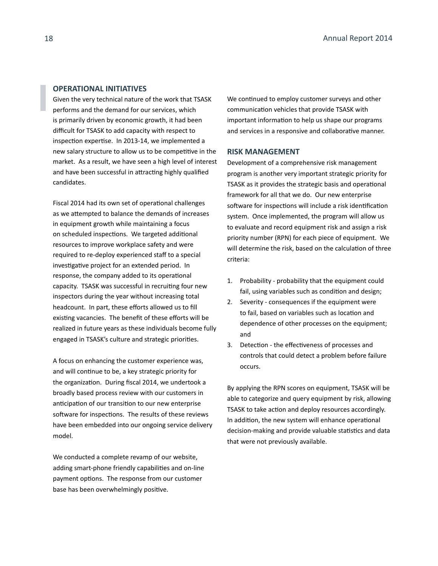### **OPERATIONAL INITIATIVES**

Given the very technical nature of the work that TSASK performs and the demand for our services, which is primarily driven by economic growth, it had been difficult for TSASK to add capacity with respect to inspection expertise. In 2013-14, we implemented a new salary structure to allow us to be competitive in the market. As a result, we have seen a high level of interest and have been successful in attracting highly qualified candidates.

Fiscal 2014 had its own set of operational challenges as we attempted to balance the demands of increases in equipment growth while maintaining a focus on scheduled inspections. We targeted additional resources to improve workplace safety and were required to re-deploy experienced staff to a special investigative project for an extended period. In response, the company added to its operational capacity. TSASK was successful in recruiting four new inspectors during the year without increasing total headcount. In part, these efforts allowed us to fill existing vacancies. The benefit of these efforts will be realized in future years as these individuals become fully engaged in TSASK's culture and strategic priorities.

A focus on enhancing the customer experience was, and will continue to be, a key strategic priority for the organization. During fiscal 2014, we undertook a broadly based process review with our customers in anticipation of our transition to our new enterprise software for inspections. The results of these reviews have been embedded into our ongoing service delivery model.

We conducted a complete revamp of our website, adding smart-phone friendly capabilities and on-line payment options. The response from our customer base has been overwhelmingly positive.

We continued to employ customer surveys and other communication vehicles that provide TSASK with important information to help us shape our programs and services in a responsive and collaborative manner.

### **RISK MANAGEMENT**

Development of a comprehensive risk management program is another very important strategic priority for TSASK as it provides the strategic basis and operational framework for all that we do. Our new enterprise software for inspections will include a risk identification system. Once implemented, the program will allow us to evaluate and record equipment risk and assign a risk priority number (RPN) for each piece of equipment. We will determine the risk, based on the calculation of three criteria:

- 1. Probability probability that the equipment could fail, using variables such as condition and design;
- 2. Severity consequences if the equipment were to fail, based on variables such as location and dependence of other processes on the equipment; and
- 3. Detection the effectiveness of processes and controls that could detect a problem before failure occurs.

By applying the RPN scores on equipment, TSASK will be able to categorize and query equipment by risk, allowing TSASK to take action and deploy resources accordingly. In addition, the new system will enhance operational decision-making and provide valuable statistics and data that were not previously available.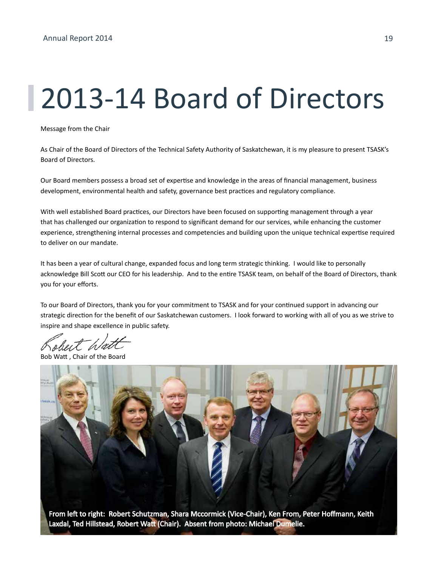### 2013-14 Board of Directors

Message from the Chair

As Chair of the Board of Directors of the Technical Safety Authority of Saskatchewan, it is my pleasure to present TSASK's Board of Directors.

Our Board members possess a broad set of expertise and knowledge in the areas of financial management, business development, environmental health and safety, governance best practices and regulatory compliance.

With well established Board practices, our Directors have been focused on supporting management through a year that has challenged our organization to respond to significant demand for our services, while enhancing the customer experience, strengthening internal processes and competencies and building upon the unique technical expertise required to deliver on our mandate.

It has been a year of cultural change, expanded focus and long term strategic thinking. I would like to personally acknowledge Bill Scott our CEO for his leadership. And to the entire TSASK team, on behalf of the Board of Directors, thank you for your efforts.

To our Board of Directors, thank you for your commitment to TSASK and for your continued support in advancing our strategic direction for the benefit of our Saskatchewan customers. I look forward to working with all of you as we strive to inspire and shape excellence in public safety.

ut Wat

Chair of the Board



Laxdal, Ted Hillstead, Robert Watt (Chair). Absent from photo: Michael Dumelie.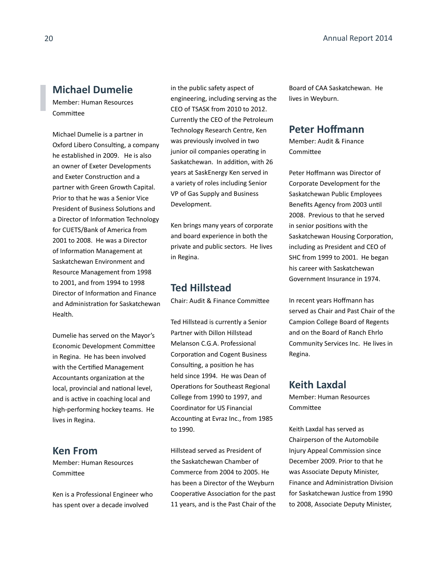### **Michael Dumelie**

Member: Human Resources Committee

Michael Dumelie is a partner in Oxford Libero Consulting, a company he established in 2009. He is also an owner of Exeter Developments and Exeter Construction and a partner with Green Growth Capital. Prior to that he was a Senior Vice President of Business Solutions and a Director of Information Technology for CUETS/Bank of America from 2001 to 2008. He was a Director of Information Management at Saskatchewan Environment and Resource Management from 1998 to 2001, and from 1994 to 1998 Director of Information and Finance and Administration for Saskatchewan Health.

Dumelie has served on the Mayor's Economic Development Committee in Regina. He has been involved with the Certified Management Accountants organization at the local, provincial and national level, and is active in coaching local and high-performing hockey teams. He lives in Regina.

### **Ken From**

Member: Human Resources Committee

Ken is a Professional Engineer who has spent over a decade involved

in the public safety aspect of engineering, including serving as the CEO of TSASK from 2010 to 2012. Currently the CEO of the Petroleum Technology Research Centre, Ken was previously involved in two junior oil companies operating in Saskatchewan. In addition, with 26 years at SaskEnergy Ken served in a variety of roles including Senior VP of Gas Supply and Business Development.

Ken brings many years of corporate and board experience in both the private and public sectors. He lives in Regina.

### **Ted Hillstead**

Chair: Audit & Finance Committee

Ted Hillstead is currently a Senior Partner with Dillon Hillstead Melanson C.G.A. Professional Corporation and Cogent Business Consulting, a position he has held since 1994. He was Dean of Operations for Southeast Regional College from 1990 to 1997, and Coordinator for US Financial Accounting at Evraz Inc., from 1985 to 1990.

Hillstead served as President of the Saskatchewan Chamber of Commerce from 2004 to 2005. He has been a Director of the Weyburn Cooperative Association for the past 11 years, and is the Past Chair of the Board of CAA Saskatchewan. He lives in Weyburn.

### **Peter Hoffmann**

Member: Audit & Finance Committee

Peter Hoffmann was Director of Corporate Development for the Saskatchewan Public Employees Benefits Agency from 2003 until 2008. Previous to that he served in senior positions with the Saskatchewan Housing Corporation, including as President and CEO of SHC from 1999 to 2001. He began his career with Saskatchewan Government Insurance in 1974.

In recent years Hoffmann has served as Chair and Past Chair of the Campion College Board of Regents and on the Board of Ranch Ehrlo Community Services Inc. He lives in Regina.

### **Keith Laxdal**

Member: Human Resources Committee

Keith Laxdal has served as Chairperson of the Automobile Injury Appeal Commission since December 2009. Prior to that he was Associate Deputy Minister, Finance and Administration Division for Saskatchewan Justice from 1990 to 2008, Associate Deputy Minister,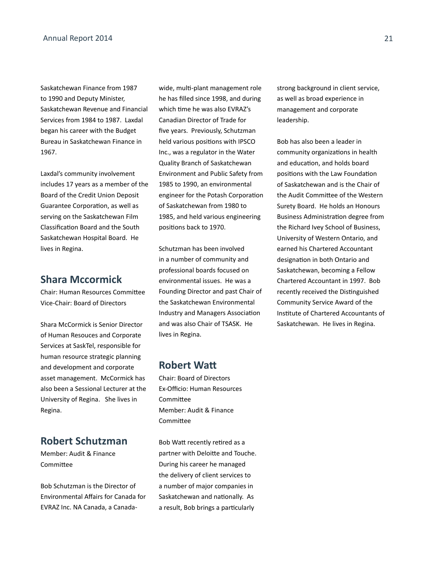Saskatchewan Finance from 1987 to 1990 and Deputy Minister, Saskatchewan Revenue and Financial Services from 1984 to 1987. Laxdal began his career with the Budget Bureau in Saskatchewan Finance in 1967.

Laxdal's community involvement includes 17 years as a member of the Board of the Credit Union Deposit Guarantee Corporation, as well as serving on the Saskatchewan Film Classification Board and the South Saskatchewan Hospital Board. He lives in Regina.

### **Shara Mccormick**

Chair: Human Resources Committee Vice-Chair: Board of Directors

Shara McCormick is Senior Director of Human Resouces and Corporate Services at SaskTel, responsible for human resource strategic planning and development and corporate asset management. McCormick has also been a Sessional Lecturer at the University of Regina. She lives in Regina.

### **Robert Schutzman**

Member: Audit & Finance Committee

Bob Schutzman is the Director of Environmental Affairs for Canada for EVRAZ Inc. NA Canada, a Canadawide, multi-plant management role he has filled since 1998, and during which time he was also EVRAZ's Canadian Director of Trade for five years. Previously, Schutzman held various positions with IPSCO Inc., was a regulator in the Water Quality Branch of Saskatchewan Environment and Public Safety from 1985 to 1990, an environmental engineer for the Potash Corporation of Saskatchewan from 1980 to 1985, and held various engineering positions back to 1970.

Schutzman has been involved in a number of community and professional boards focused on environmental issues. He was a Founding Director and past Chair of the Saskatchewan Environmental Industry and Managers Association and was also Chair of TSASK. He lives in Regina.

### **Robert Watt**

Chair: Board of Directors Ex-Officio: Human Resources Committee Member: Audit & Finance **Committee** 

Bob Watt recently retired as a partner with Deloitte and Touche. During his career he managed the delivery of client services to a number of major companies in Saskatchewan and nationally. As a result, Bob brings a particularly

strong background in client service, as well as broad experience in management and corporate leadership.

Bob has also been a leader in community organizations in health and education, and holds board positions with the Law Foundation of Saskatchewan and is the Chair of the Audit Committee of the Western Surety Board. He holds an Honours Business Administration degree from the Richard Ivey School of Business, University of Western Ontario, and earned his Chartered Accountant designation in both Ontario and Saskatchewan, becoming a Fellow Chartered Accountant in 1997. Bob recently received the Distinguished Community Service Award of the Institute of Chartered Accountants of Saskatchewan. He lives in Regina.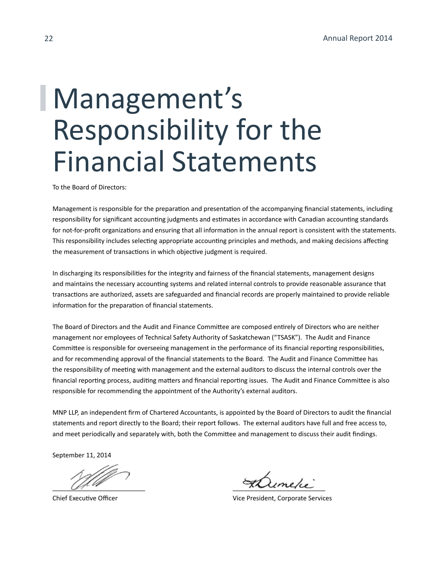### Management's Responsibility for the Financial Statements

To the Board of Directors:

Management is responsible for the preparation and presentation of the accompanying financial statements, including responsibility for significant accounting judgments and estimates in accordance with Canadian accounting standards for not-for-profit organizations and ensuring that all information in the annual report is consistent with the statements. This responsibility includes selecting appropriate accounting principles and methods, and making decisions affecting the measurement of transactions in which objective judgment is required.

In discharging its responsibilities for the integrity and fairness of the financial statements, management designs and maintains the necessary accounting systems and related internal controls to provide reasonable assurance that transactions are authorized, assets are safeguarded and financial records are properly maintained to provide reliable information for the preparation of financial statements.

The Board of Directors and the Audit and Finance Committee are composed entirely of Directors who are neither management nor employees of Technical Safety Authority of Saskatchewan ("TSASK"). The Audit and Finance Committee is responsible for overseeing management in the performance of its financial reporting responsibilities, and for recommending approval of the financial statements to the Board. The Audit and Finance Committee has the responsibility of meeting with management and the external auditors to discuss the internal controls over the financial reporting process, auditing matters and financial reporting issues. The Audit and Finance Committee is also responsible for recommending the appointment of the Authority's external auditors.

MNP LLP, an independent firm of Chartered Accountants, is appointed by the Board of Directors to audit the financial statements and report directly to the Board; their report follows. The external auditors have full and free access to, and meet periodically and separately with, both the Committee and management to discuss their audit findings.

September 11, 2014

\_\_\_\_\_\_\_\_\_\_\_\_\_\_\_\_\_\_\_\_\_\_\_\_\_\_ \_\_\_\_\_\_\_\_\_\_\_\_\_\_\_\_\_\_\_\_\_\_\_\_\_\_

Chief Executive Officer Vice President, Corporate Services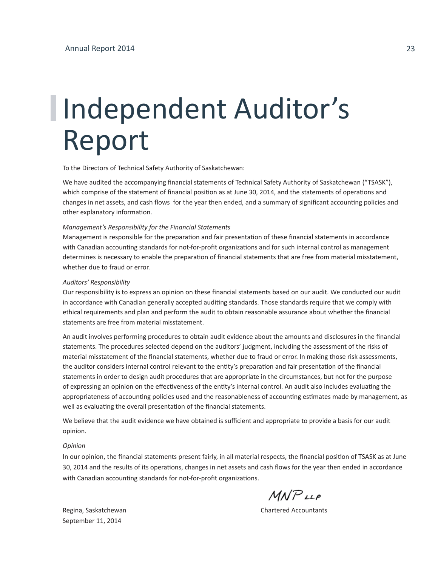## Independent Auditor's Report

To the Directors of Technical Safety Authority of Saskatchewan:

We have audited the accompanying financial statements of Technical Safety Authority of Saskatchewan ("TSASK"), which comprise of the statement of financial position as at June 30, 2014, and the statements of operations and changes in net assets, and cash flows for the year then ended, and a summary of significant accounting policies and other explanatory information.

#### *Management's Responsibility for the Financial Statements*

Management is responsible for the preparation and fair presentation of these financial statements in accordance with Canadian accounting standards for not-for-profit organizations and for such internal control as management determines is necessary to enable the preparation of financial statements that are free from material misstatement, whether due to fraud or error.

#### *Auditors' Responsibility*

Our responsibility is to express an opinion on these financial statements based on our audit. We conducted our audit in accordance with Canadian generally accepted auditing standards. Those standards require that we comply with ethical requirements and plan and perform the audit to obtain reasonable assurance about whether the financial statements are free from material misstatement.

An audit involves performing procedures to obtain audit evidence about the amounts and disclosures in the financial statements. The procedures selected depend on the auditors' judgment, including the assessment of the risks of material misstatement of the financial statements, whether due to fraud or error. In making those risk assessments, the auditor considers internal control relevant to the entity's preparation and fair presentation of the financial statements in order to design audit procedures that are appropriate in the circumstances, but not for the purpose of expressing an opinion on the effectiveness of the entity's internal control. An audit also includes evaluating the appropriateness of accounting policies used and the reasonableness of accounting estimates made by management, as well as evaluating the overall presentation of the financial statements.

We believe that the audit evidence we have obtained is sufficient and appropriate to provide a basis for our audit opinion.

#### *Opinion*

In our opinion, the financial statements present fairly, in all material respects, the financial position of TSASK as at June 30, 2014 and the results of its operations, changes in net assets and cash flows for the year then ended in accordance with Canadian accounting standards for not-for-profit organizations.

 $M$  $N$  $P$ <sub> $LL$  $P$ </sub>

September 11, 2014

Regina, Saskatchewan Chartered Accountants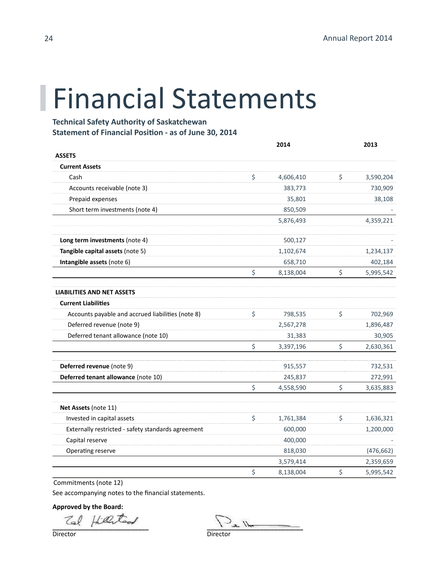### Financial Statements

**Technical Safety Authority of Saskatchewan Statement of Financial Position - as of June 30, 2014**

|                                                    | 2014            | 2013            |
|----------------------------------------------------|-----------------|-----------------|
| <b>ASSETS</b>                                      |                 |                 |
| <b>Current Assets</b>                              |                 |                 |
| Cash                                               | \$<br>4,606,410 | \$<br>3,590,204 |
| Accounts receivable (note 3)                       | 383,773         | 730,909         |
| Prepaid expenses                                   | 35,801          | 38,108          |
| Short term investments (note 4)                    | 850,509         |                 |
|                                                    | 5,876,493       | 4,359,221       |
| Long term investments (note 4)                     | 500,127         |                 |
| Tangible capital assets (note 5)                   | 1,102,674       | 1,234,137       |
| Intangible assets (note 6)                         | 658,710         | 402,184         |
|                                                    | \$<br>8,138,004 | \$<br>5,995,542 |
| <b>LIABILITIES AND NET ASSETS</b>                  |                 |                 |
| <b>Current Liabilities</b>                         |                 |                 |
| Accounts payable and accrued liabilities (note 8)  | \$<br>798,535   | \$<br>702,969   |
| Deferred revenue (note 9)                          | 2,567,278       | 1,896,487       |
| Deferred tenant allowance (note 10)                | 31,383          | 30,905          |
|                                                    | \$<br>3,397,196 | \$<br>2,630,361 |
| Deferred revenue (note 9)                          | 915,557         | 732,531         |
| Deferred tenant allowance (note 10)                | 245,837         | 272,991         |
|                                                    | \$<br>4,558,590 | \$<br>3,635,883 |
| Net Assets (note 11)                               |                 |                 |
| Invested in capital assets                         | \$<br>1,761,384 | \$<br>1,636,321 |
| Externally restricted - safety standards agreement | 600,000         | 1,200,000       |
| Capital reserve                                    | 400,000         |                 |
| Operating reserve                                  | 818,030         | (476, 662)      |
|                                                    | 3,579,414       | 2,359,659       |
|                                                    | \$<br>8,138,004 | \$<br>5,995,542 |

Commitments (note 12)

See accompanying notes to the financial statements.

**Approved by the Board:**

 $Zal$  field tool Director

Director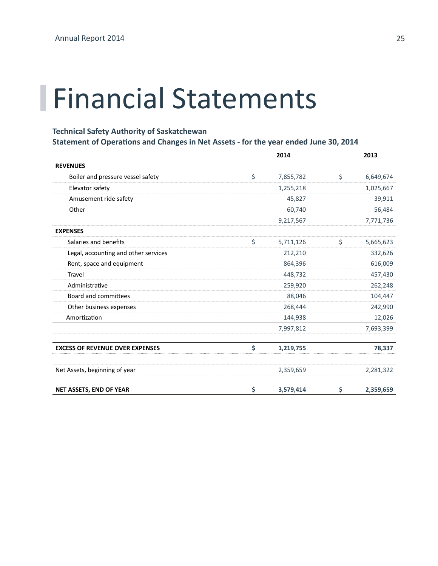### Financial Statements

### **Technical Safety Authority of Saskatchewan**

### **Statement of Operations and Changes in Net Assets - for the year ended June 30, 2014**

|                                        | 2014            | 2013            |
|----------------------------------------|-----------------|-----------------|
| <b>REVENUES</b>                        |                 |                 |
| Boiler and pressure vessel safety      | \$<br>7,855,782 | \$<br>6,649,674 |
| Elevator safety                        | 1,255,218       | 1,025,667       |
| Amusement ride safety                  | 45,827          | 39,911          |
| Other                                  | 60,740          | 56,484          |
|                                        | 9,217,567       | 7,771,736       |
| <b>EXPENSES</b>                        |                 |                 |
| Salaries and benefits                  | \$<br>5,711,126 | \$<br>5,665,623 |
| Legal, accounting and other services   | 212,210         | 332,626         |
| Rent, space and equipment              | 864,396         | 616,009         |
| Travel                                 | 448,732         | 457,430         |
| Administrative                         | 259,920         | 262,248         |
| <b>Board and committees</b>            | 88,046          | 104,447         |
| Other business expenses                | 268,444         | 242,990         |
| Amortization                           | 144,938         | 12,026          |
|                                        | 7,997,812       | 7,693,399       |
| <b>EXCESS OF REVENUE OVER EXPENSES</b> | \$<br>1,219,755 | 78,337          |
| Net Assets, beginning of year          | 2,359,659       | 2,281,322       |
| <b>NET ASSETS, END OF YEAR</b>         | \$<br>3,579,414 | \$<br>2,359,659 |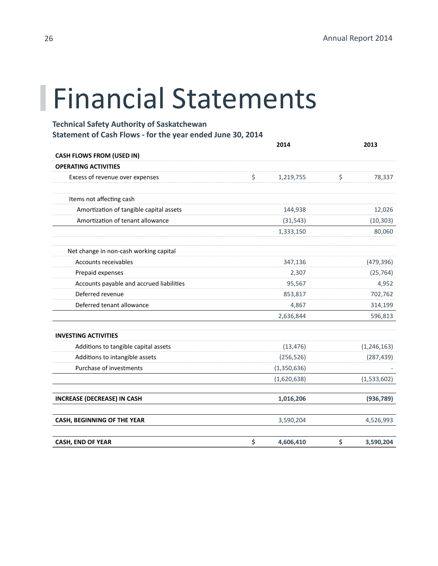### Financial Statements

**Technical Safety Authority of Saskatchewan Statement of Cash Flows - for the year ended June 30, 2014**

|                                          | 2014            |    |               |
|------------------------------------------|-----------------|----|---------------|
| <b>CASH FLOWS FROM (USED IN)</b>         |                 |    |               |
| <b>OPERATING ACTIVITIES</b>              |                 |    |               |
| Excess of revenue over expenses          | \$<br>1,219,755 | \$ | 78,337        |
| Items not affecting cash                 |                 |    |               |
| Amortization of tangible capital assets  | 144,938         |    | 12,026        |
| Amortization of tenant allowance         | (31, 543)       |    | (10, 303)     |
|                                          | 1,333,150       |    | 80,060        |
| Net change in non-cash working capital   |                 |    |               |
| Accounts receivables                     | 347,136         |    | (479, 396)    |
| Prepaid expenses                         | 2,307           |    | (25, 764)     |
| Accounts payable and accrued liabilities | 95,567          |    | 4,952         |
| Deferred revenue                         | 853,817         |    | 702,762       |
| Deferred tenant allowance                | 4,867           |    | 314,199       |
|                                          | 2,636,844       |    | 596,813       |
| <b>INVESTING ACTIVITIES</b>              |                 |    |               |
| Additions to tangible capital assets     | (13, 476)       |    | (1, 246, 163) |
| Additions to intangible assets           | (256, 526)      |    | (287, 439)    |
| Purchase of investments                  | (1,350,636)     |    |               |
|                                          | (1,620,638)     |    | (1,533,602)   |
| <b>INCREASE (DECREASE) IN CASH</b>       | 1,016,206       |    | (936, 789)    |
| CASH, BEGINNING OF THE YEAR              | 3,590,204       |    | 4,526,993     |
| <b>CASH, END OF YEAR</b>                 | \$<br>4,606,410 | \$ | 3,590,204     |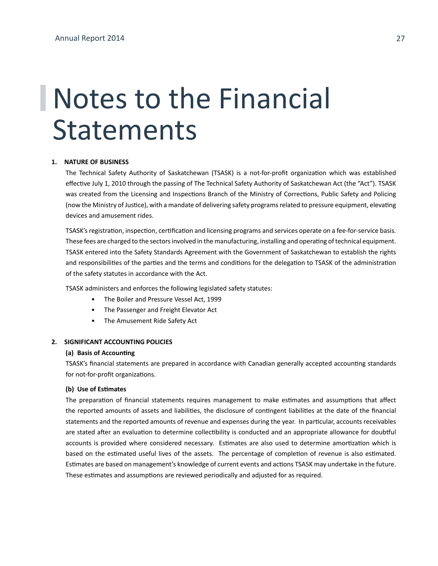#### **1. NATURE OF BUSINESS**

The Technical Safety Authority of Saskatchewan (TSASK) is a not-for-profit organization which was established effective July 1, 2010 through the passing of The Technical Safety Authority of Saskatchewan Act (the "Act"). TSASK was created from the Licensing and Inspections Branch of the Ministry of Corrections, Public Safety and Policing (now the Ministry of Justice), with a mandate of delivering safety programs related to pressure equipment, elevating devices and amusement rides.

TSASK's registration, inspection, certification and licensing programs and services operate on a fee-for-service basis. These fees are charged to the sectors involved in the manufacturing, installing and operating of technical equipment. TSASK entered into the Safety Standards Agreement with the Government of Saskatchewan to establish the rights and responsibilities of the parties and the terms and conditions for the delegation to TSASK of the administration of the safety statutes in accordance with the Act.

TSASK administers and enforces the following legislated safety statutes:

- The Boiler and Pressure Vessel Act, 1999
- The Passenger and Freight Elevator Act
- The Amusement Ride Safety Act

### **2. SIGNIFICANT ACCOUNTING POLICIES**

### **(a) Basis of Accounting**

TSASK's financial statements are prepared in accordance with Canadian generally accepted accounting standards for not-for-profit organizations.

#### **(b) Use of Estimates**

The preparation of financial statements requires management to make estimates and assumptions that affect the reported amounts of assets and liabilities, the disclosure of contingent liabilities at the date of the financial statements and the reported amounts of revenue and expenses during the year. In particular, accounts receivables are stated after an evaluation to determine collectibility is conducted and an appropriate allowance for doubtful accounts is provided where considered necessary. Estimates are also used to determine amortization which is based on the estimated useful lives of the assets. The percentage of completion of revenue is also estimated. Estimates are based on management's knowledge of current events and actions TSASK may undertake in the future. These estimates and assumptions are reviewed periodically and adjusted for as required.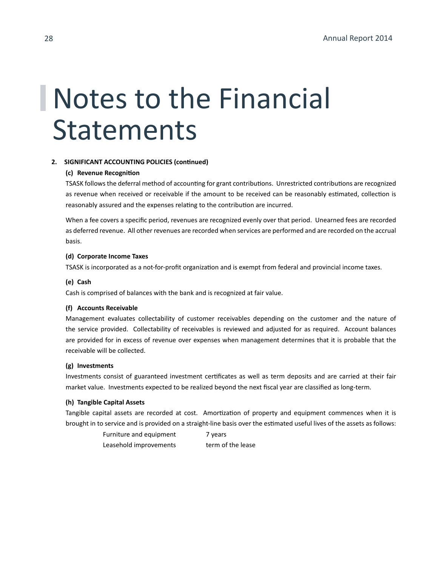### **2. SIGNIFICANT ACCOUNTING POLICIES (continued)**

### **(c) Revenue Recognition**

TSASK follows the deferral method of accounting for grant contributions. Unrestricted contributions are recognized as revenue when received or receivable if the amount to be received can be reasonably estimated, collection is reasonably assured and the expenses relating to the contribution are incurred.

When a fee covers a specific period, revenues are recognized evenly over that period. Unearned fees are recorded as deferred revenue. All other revenues are recorded when services are performed and are recorded on the accrual basis.

#### **(d) Corporate Income Taxes**

TSASK is incorporated as a not-for-profit organization and is exempt from federal and provincial income taxes.

### **(e) Cash**

Cash is comprised of balances with the bank and is recognized at fair value.

### **(f) Accounts Receivable**

Management evaluates collectability of customer receivables depending on the customer and the nature of the service provided. Collectability of receivables is reviewed and adjusted for as required. Account balances are provided for in excess of revenue over expenses when management determines that it is probable that the receivable will be collected.

### **(g) Investments**

Investments consist of guaranteed investment certificates as well as term deposits and are carried at their fair market value. Investments expected to be realized beyond the next fiscal year are classified as long-term.

#### **(h) Tangible Capital Assets**

Tangible capital assets are recorded at cost. Amortization of property and equipment commences when it is brought in to service and is provided on a straight-line basis over the estimated useful lives of the assets as follows:

> Furniture and equipment 7 years Leasehold improvements term of the lease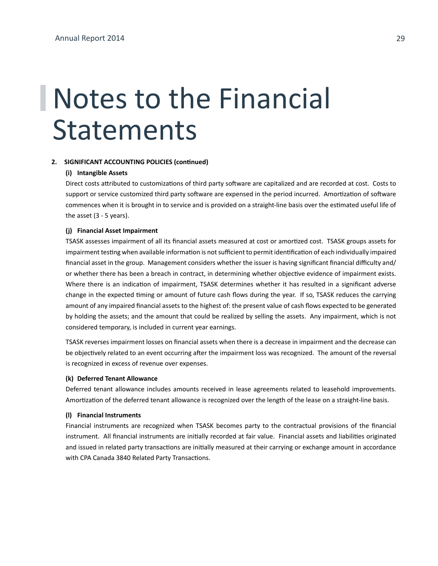#### **2. SIGNIFICANT ACCOUNTING POLICIES (continued)**

#### **(i) Intangible Assets**

Direct costs attributed to customizations of third party software are capitalized and are recorded at cost. Costs to support or service customized third party software are expensed in the period incurred. Amortization of software commences when it is brought in to service and is provided on a straight-line basis over the estimated useful life of the asset (3 - 5 years).

#### **(j) Financial Asset Impairment**

TSASK assesses impairment of all its financial assets measured at cost or amortized cost. TSASK groups assets for impairment testing when available information is not sufficient to permit identification of each individually impaired financial asset in the group. Management considers whether the issuer is having significant financial difficulty and/ or whether there has been a breach in contract, in determining whether objective evidence of impairment exists. Where there is an indication of impairment, TSASK determines whether it has resulted in a significant adverse change in the expected timing or amount of future cash flows during the year. If so, TSASK reduces the carrying amount of any impaired financial assets to the highest of: the present value of cash flows expected to be generated by holding the assets; and the amount that could be realized by selling the assets. Any impairment, which is not considered temporary, is included in current year earnings.

TSASK reverses impairment losses on financial assets when there is a decrease in impairment and the decrease can be objectively related to an event occurring after the impairment loss was recognized. The amount of the reversal is recognized in excess of revenue over expenses.

#### **(k) Deferred Tenant Allowance**

Deferred tenant allowance includes amounts received in lease agreements related to leasehold improvements. Amortization of the deferred tenant allowance is recognized over the length of the lease on a straight-line basis.

### **(l) Financial Instruments**

Financial instruments are recognized when TSASK becomes party to the contractual provisions of the financial instrument. All financial instruments are initially recorded at fair value. Financial assets and liabilities originated and issued in related party transactions are initially measured at their carrying or exchange amount in accordance with CPA Canada 3840 Related Party Transactions.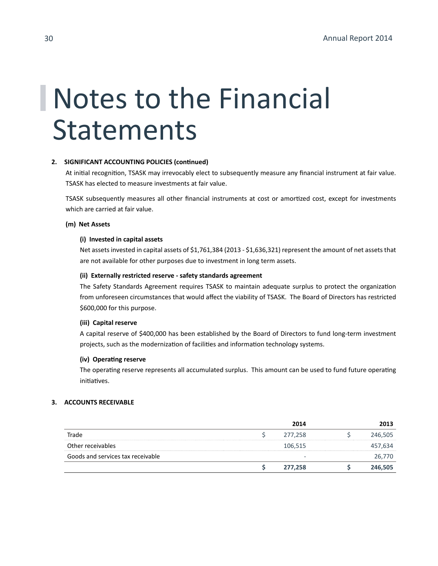### **2. SIGNIFICANT ACCOUNTING POLICIES (continued)**

At initial recognition, TSASK may irrevocably elect to subsequently measure any financial instrument at fair value. TSASK has elected to measure investments at fair value.

TSASK subsequently measures all other financial instruments at cost or amortized cost, except for investments which are carried at fair value.

### **(m) Net Assets**

### **(i) Invested in capital assets**

Net assets invested in capital assets of \$1,761,384 (2013 - \$1,636,321) represent the amount of net assets that are not available for other purposes due to investment in long term assets.

### **(ii) Externally restricted reserve - safety standards agreement**

The Safety Standards Agreement requires TSASK to maintain adequate surplus to protect the organization from unforeseen circumstances that would affect the viability of TSASK. The Board of Directors has restricted \$600,000 for this purpose.

#### **(iii) Capital reserve**

A capital reserve of \$400,000 has been established by the Board of Directors to fund long-term investment projects, such as the modernization of facilities and information technology systems.

### **(iv) Operating reserve**

The operating reserve represents all accumulated surplus. This amount can be used to fund future operating initiatives.

### **3. ACCOUNTS RECEIVABLE**

|                                   | 2014    | 2013    |
|-----------------------------------|---------|---------|
| Trade                             | 277,258 | 246,505 |
| Other receivables                 | 106,515 | 457,634 |
| Goods and services tax receivable | -       | 26,770  |
|                                   | 277,258 | 246,505 |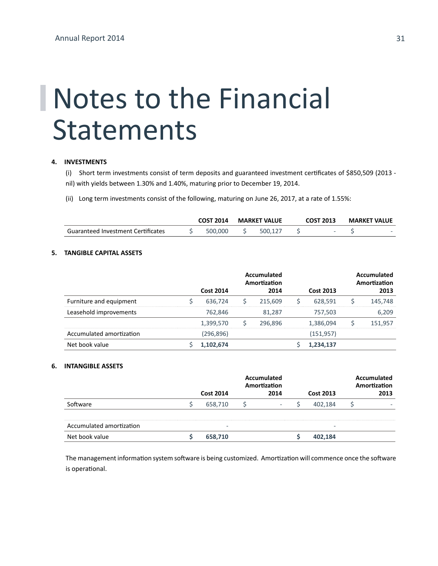### **4. INVESTMENTS**

(i) Short term investments consist of term deposits and guaranteed investment certificates of \$850,509 (2013 nil) with yields between 1.30% and 1.40%, maturing prior to December 19, 2014.

(ii) Long term investments consist of the following, maturing on June 26, 2017, at a rate of 1.55%:

|                                    | <b>COST 2014</b> |         | <b>MARKET VALUE</b> |         | <b>COST 2013</b> | <b>MARKET VALUE</b> |
|------------------------------------|------------------|---------|---------------------|---------|------------------|---------------------|
| Guaranteed Investment Certificates |                  | 500,000 |                     | 500.127 |                  |                     |

### **5. TANGIBLE CAPITAL ASSETS**

|                          | <b>Cost 2014</b> | Accumulated<br>Amortization<br>2014 | <b>Cost 2013</b> | Accumulated<br>Amortization<br>2013 |
|--------------------------|------------------|-------------------------------------|------------------|-------------------------------------|
| Furniture and equipment  | 636,724          | 215.609                             | 628,591          | 145,748                             |
| Leasehold improvements   | 762,846          | 81,287                              | 757,503          | 6,209                               |
|                          | 1,399,570        | 296,896                             | 1.386.094        | 151,957                             |
| Accumulated amortization | (296,896)        |                                     | (151, 957)       |                                     |
| Net book value           | 1,102,674        |                                     | 1,234,137        |                                     |

#### **6. INTANGIBLE ASSETS**

|                          |                          | Accumulated<br>Amortization |                  |  |      |
|--------------------------|--------------------------|-----------------------------|------------------|--|------|
|                          | <b>Cost 2014</b>         | 2014                        | <b>Cost 2013</b> |  | 2013 |
| Software                 | 658,710                  | $\overline{\phantom{a}}$    | 402.184          |  |      |
| Accumulated amortization | $\overline{\phantom{a}}$ |                             |                  |  |      |
| Net book value           | 658,710                  |                             | 402,184          |  |      |

The management information system software is being customized. Amortization will commence once the software is operational.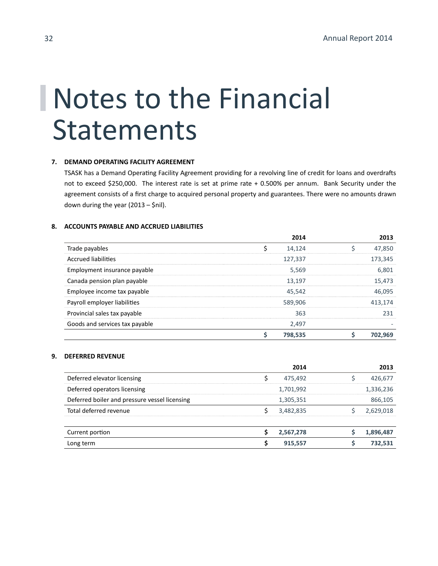### **7. DEMAND OPERATING FACILITY AGREEMENT**

TSASK has a Demand Operating Facility Agreement providing for a revolving line of credit for loans and overdrafts not to exceed \$250,000. The interest rate is set at prime rate + 0.500% per annum. Bank Security under the agreement consists of a first charge to acquired personal property and guarantees. There were no amounts drawn down during the year (2013 – \$nil).

### **8. ACCOUNTS PAYABLE AND ACCRUED LIABILITIES**

|                                | 2014    | 2013    |
|--------------------------------|---------|---------|
| Trade payables                 | 14,124  | 47,850  |
| <b>Accrued liabilities</b>     | 127,337 | 173,345 |
| Employment insurance payable   | 5,569   | 6,801   |
| Canada pension plan payable    | 13,197  | 15,473  |
| Employee income tax payable    | 45.542  | 46,095  |
| Payroll employer liabilities   | 589,906 | 413,174 |
| Provincial sales tax payable   | 363     | 231     |
| Goods and services tax payable | 2,497   |         |
|                                | 798,535 | 702.969 |

### **9. DEFERRED REVENUE**

|                                               |   | 2014      | 2013      |
|-----------------------------------------------|---|-----------|-----------|
| Deferred elevator licensing                   |   | 475,492   | 426,677   |
| Deferred operators licensing                  |   | 1,701,992 | 1,336,236 |
| Deferred boiler and pressure vessel licensing |   | 1,305,351 | 866,105   |
| Total deferred revenue                        |   | 3,482,835 | 2,629,018 |
|                                               |   |           |           |
| Current portion                               |   | 2,567,278 | 1,896,487 |
| Long term                                     | S | 915,557   | 732,531   |
|                                               |   |           |           |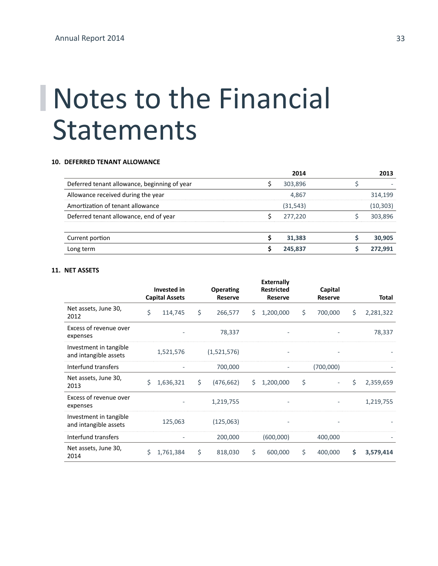#### **10. DEFERRED TENANT ALLOWANCE**

|                                              | 2014      | 2013      |
|----------------------------------------------|-----------|-----------|
| Deferred tenant allowance, beginning of year | 303,896   |           |
| Allowance received during the year           | 4,867     | 314,199   |
| Amortization of tenant allowance             | (31, 543) | (10, 303) |
| Deferred tenant allowance, end of year       | 277,220   | 303,896   |
|                                              |           |           |
| Current portion                              | 31,383    | 30,905    |
| Long term                                    | 245.837   | 272.991   |

### **11. NET ASSETS**

|                                                 |    |                                             |                             |    | <b>Externally</b>                   |                           |    |           |
|-------------------------------------------------|----|---------------------------------------------|-----------------------------|----|-------------------------------------|---------------------------|----|-----------|
|                                                 |    | <b>Invested in</b><br><b>Capital Assets</b> | Operating<br><b>Reserve</b> |    | <b>Restricted</b><br><b>Reserve</b> | Capital<br><b>Reserve</b> |    | Total     |
| Net assets, June 30,<br>2012                    | \$ | 114,745                                     | \$<br>266,577               | \$ | 1,200,000                           | \$<br>700,000             | \$ | 2,281,322 |
| Excess of revenue over<br>expenses              |    |                                             | 78,337                      |    |                                     |                           |    | 78,337    |
| Investment in tangible<br>and intangible assets |    | 1,521,576                                   | (1,521,576)                 |    |                                     |                           |    |           |
| Interfund transfers                             |    |                                             | 700,000                     |    | ٠                                   | (700,000)                 |    |           |
| Net assets, June 30,<br>2013                    | Ś  | 1,636,321                                   | \$<br>(476, 662)            | Ś. | 1,200,000                           | \$                        | Ś  | 2,359,659 |
| Excess of revenue over<br>expenses              |    |                                             | 1,219,755                   |    | $\overline{\phantom{a}}$            |                           |    | 1,219,755 |
| Investment in tangible<br>and intangible assets |    | 125,063                                     | (125,063)                   |    |                                     |                           |    |           |
| Interfund transfers                             |    |                                             | 200,000                     |    | (600,000)                           | 400,000                   |    |           |
| Net assets, June 30,<br>2014                    | Ś  | 1,761,384                                   | \$<br>818,030               | \$ | 600,000                             | \$<br>400,000             | Ś  | 3,579,414 |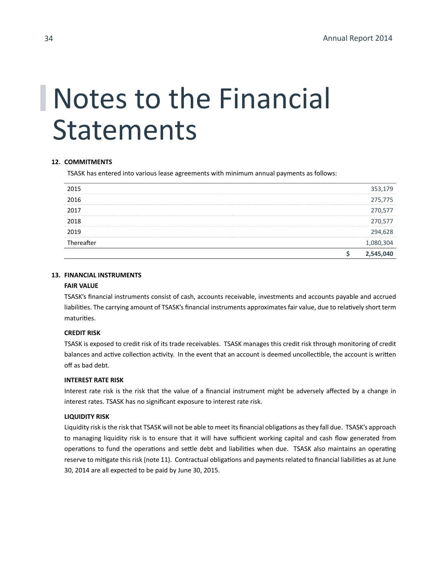### **12. COMMITMENTS**

TSASK has entered into various lease agreements with minimum annual payments as follows:

|            | 2,545,040 |
|------------|-----------|
| Thereafter | 1,080,304 |
| 2019       | 294,628   |
| 2018       | 270,577   |
| 2017       | 270,577   |
| 2016       | 275,775   |
| 2015       | 353,179   |

### **13. FINANCIAL INSTRUMENTS**

### **FAIR VALUE**

TSASK's financial instruments consist of cash, accounts receivable, investments and accounts payable and accrued liabilities. The carrying amount of TSASK's financial instruments approximates fair value, due to relatively short term maturities.

### **CREDIT RISK**

TSASK is exposed to credit risk of its trade receivables. TSASK manages this credit risk through monitoring of credit balances and active collection activity. In the event that an account is deemed uncollectible, the account is written off as bad debt.

### **INTEREST RATE RISK**

Interest rate risk is the risk that the value of a financial instrument might be adversely affected by a change in interest rates. TSASK has no significant exposure to interest rate risk.

### **LIQUIDITY RISK**

Liquidity risk is the risk that TSASK will not be able to meet its financial obligations as they fall due. TSASK's approach to managing liquidity risk is to ensure that it will have sufficient working capital and cash flow generated from operations to fund the operations and settle debt and liabilities when due. TSASK also maintains an operating reserve to mitigate this risk (note 11). Contractual obligations and payments related to financial liabilities as at June 30, 2014 are all expected to be paid by June 30, 2015.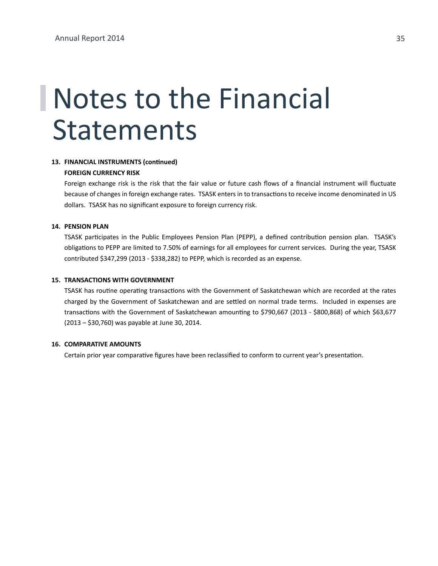### **13. FINANCIAL INSTRUMENTS (continued)**

### **FOREIGN CURRENCY RISK**

Foreign exchange risk is the risk that the fair value or future cash flows of a financial instrument will fluctuate because of changes in foreign exchange rates. TSASK enters in to transactions to receive income denominated in US dollars. TSASK has no significant exposure to foreign currency risk.

#### **14. PENSION PLAN**

TSASK participates in the Public Employees Pension Plan (PEPP), a defined contribution pension plan. TSASK's obligations to PEPP are limited to 7.50% of earnings for all employees for current services. During the year, TSASK contributed \$347,299 (2013 - \$338,282) to PEPP, which is recorded as an expense.

### **15. TRANSACTIONS WITH GOVERNMENT**

TSASK has routine operating transactions with the Government of Saskatchewan which are recorded at the rates charged by the Government of Saskatchewan and are settled on normal trade terms. Included in expenses are transactions with the Government of Saskatchewan amounting to \$790,667 (2013 - \$800,868) of which \$63,677 (2013 – \$30,760) was payable at June 30, 2014.

#### **16. COMPARATIVE AMOUNTS**

Certain prior year comparative figures have been reclassified to conform to current year's presentation.